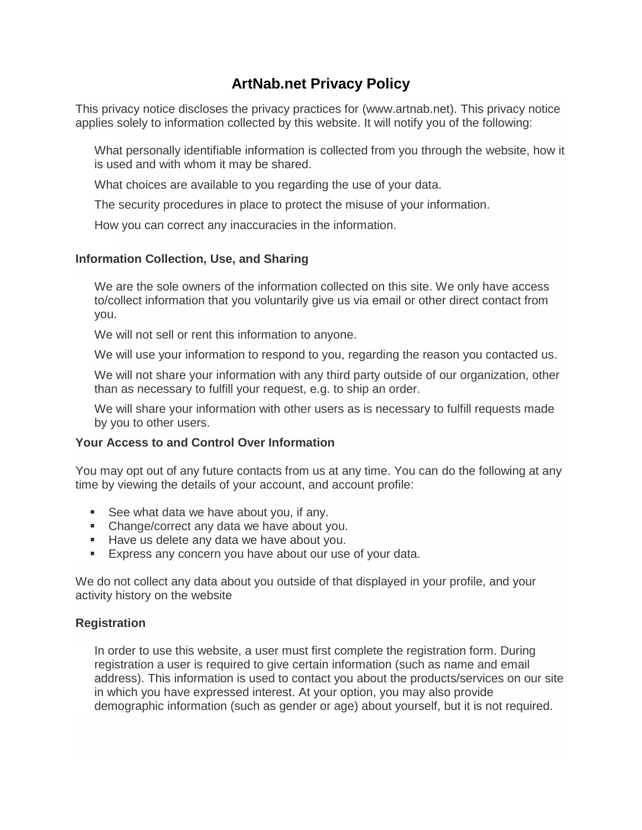# **ArtNab.net Privacy Policy**

This privacy notice discloses the privacy practices for (www.artnab.net). This privacy notice applies solely to information collected by this website. It will notify you of the following:

What personally identifiable information is collected from you through the website, how it is used and with whom it may be shared.

What choices are available to you regarding the use of your data.

The security procedures in place to protect the misuse of your information.

How you can correct any inaccuracies in the information.

## **Information Collection, Use, and Sharing**

We are the sole owners of the information collected on this site. We only have access to/collect information that you voluntarily give us via email or other direct contact from you.

We will not sell or rent this information to anyone.

We will use your information to respond to you, regarding the reason you contacted us.

We will not share your information with any third party outside of our organization, other than as necessary to fulfill your request, e.g. to ship an order.

We will share your information with other users as is necessary to fulfill requests made by you to other users.

## **Your Access to and Control Over Information**

You may opt out of any future contacts from us at any time. You can do the following at any time by viewing the details of your account, and account profile:

- See what data we have about you, if any.
- Change/correct any data we have about you.
- Have us delete any data we have about you.
- **Express any concern you have about our use of your data.**

We do not collect any data about you outside of that displayed in your profile, and your activity history on the website

## **Registration**

In order to use this website, a user must first complete the registration form. During registration a user is required to give certain information (such as name and email address). This information is used to contact you about the products/services on our site in which you have expressed interest. At your option, you may also provide demographic information (such as gender or age) about yourself, but it is not required.